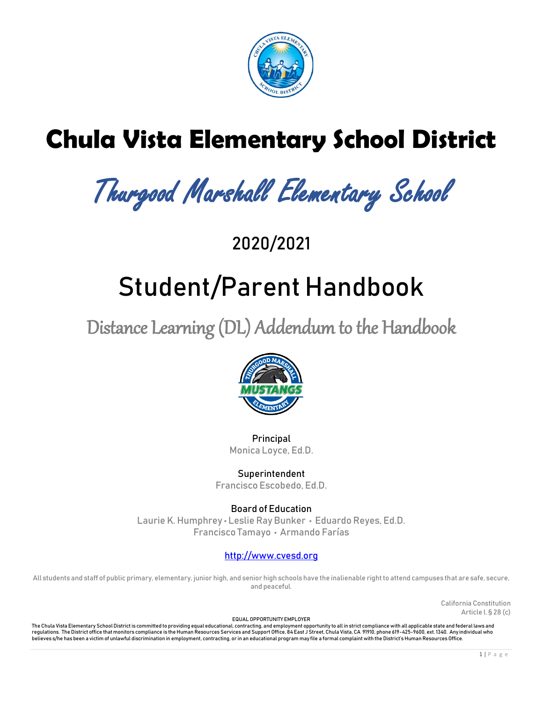

# **Chula Vista Elementary School District**

Thurgood Marshall Elementary School

2020/2021

# Student/Parent Handbook

Distance Learning (DL) Addendum to the Handbook



Principal Monica Loyce, Ed.D.

Superintendent Francisco Escobedo, Ed.D.

Board of Education Laurie K. Humphrey • Leslie Ray Bunker • Eduardo Reyes, Ed.D. Francisco Tamayo • Armando Farías

# [http://www.cvesd.org](http://www.cvesd.org/)

All students and staff of public primary, elementary, junior high, and senior high schools have the inalienable right to attend campuses that are safe, secure, and peaceful.

> California Constitution Article I, § 28 (c)

EQUAL OPPORTUNITY EMPLOYER

The Chula Vista Elementary School District is committed to providing equal educational, contracting, and employment opportunity to all in strict compliance with all applicable state and federal laws and regulations. The District office that monitors compliance is the Human Resources Services and Support Office, 84 East J Street, Chula Vista, CA 91910, phone 619-425-9600, ext. 1340. Any individual who believes s/he has been a victim of unlawful discrimination in employment, contracting, or in an educational program may file a formal complaint with the District's Human Resources Office.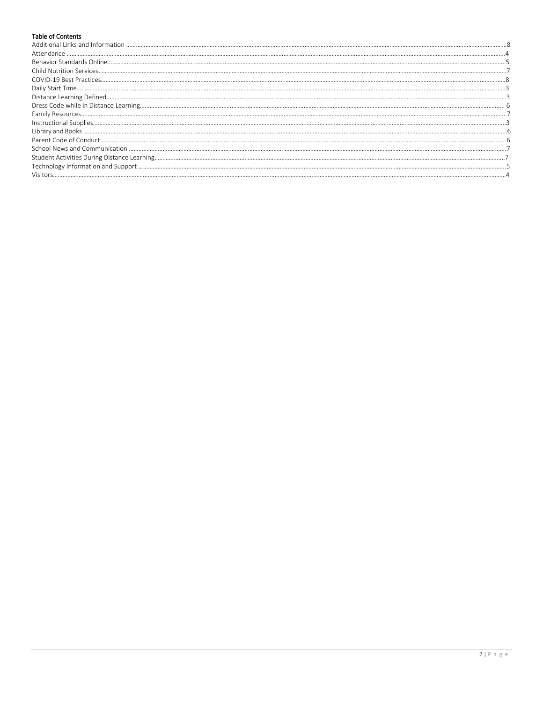# Table of Contents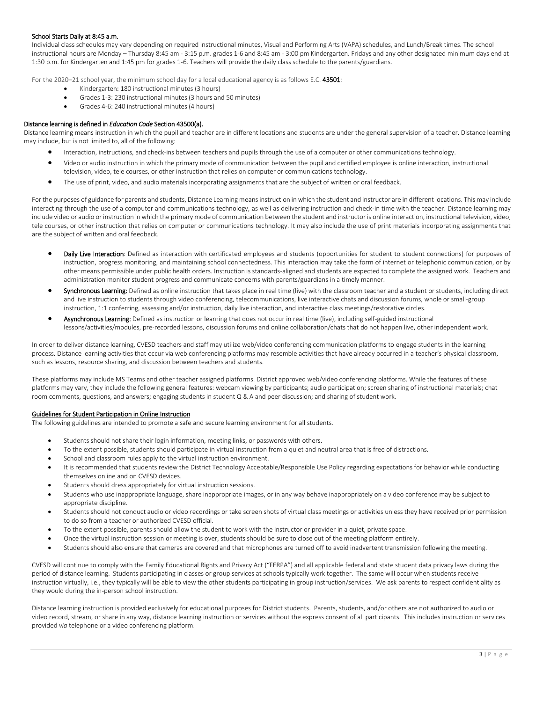# School Starts Daily at 8:45 a.m.

Individual class schedules may vary depending on required instructional minutes, Visual and Performing Arts (VAPA) schedules, and Lunch/Break times. The school instructional hours are Monday – Thursday 8:45 am - 3:15 p.m. grades 1-6 and 8:45 am - 3:00 pm Kindergarten. Fridays and any other designated minimum days end at 1:30 p.m. for Kindergarten and 1:45 pm for grades 1-6. Teachers will provide the daily class schedule to the parents/guardians.

For the 2020–21 school year, the minimum school day for a local educational agency is as follows E.C. 43501:

- Kindergarten: 180 instructional minutes (3 hours)
- Grades 1-3: 230 instructional minutes (3 hours and 50 minutes)
- Grades 4-6: 240 instructional minutes (4 hours)

# Distance learning is defined in *Education Code* Section 43500(a).

Distance learning means instruction in which the pupil and teacher are in different locations and students are under the general supervision of a teacher. Distance learning may include, but is not limited to, all of the following:

- Interaction, instructions, and check-ins between teachers and pupils through the use of a computer or other communications technology.
- Video or audio instruction in which the primary mode of communication between the pupil and certified employee is online interaction, instructional television, video, tele courses, or other instruction that relies on computer or communications technology.
- The use of print, video, and audio materials incorporating assignments that are the subject of written or oral feedback.

For the purposes of guidance for parents and students, Distance Learning means instruction in which the student and instructor are in different locations. This may include interacting through the use of a computer and communications technology, as well as delivering instruction and check-in time with the teacher. Distance learning may include video or audio or instruction in which the primary mode of communication between the student and instructor is online interaction, instructional television, video, tele courses, or other instruction that relies on computer or communications technology. It may also include the use of print materials incorporating assignments that are the subject of written and oral feedback.

- Daily Live Interaction: Defined as interaction with certificated employees and students (opportunities for student to student connections) for purposes of instruction, progress monitoring, and maintaining school connectedness. This interaction may take the form of internet or telephonic communication, or by other means permissible under public health orders. Instruction is standards-aligned and students are expected to complete the assigned work. Teachers and administration monitor student progress and communicate concerns with parents/guardians in a timely manner.
- Synchronous Learning: Defined as online instruction that takes place in real time (live) with the classroom teacher and a student or students, including direct and live instruction to students through video conferencing, telecommunications, live interactive chats and discussion forums, whole or small-group instruction, 1:1 conferring, assessing and/or instruction, daily live interaction, and interactive class meetings/restorative circles.
- Asynchronous Learning: Defined as instruction or learning that does not occur in real time (live), including self-guided instructional lessons/activities/modules, pre-recorded lessons, discussion forums and online collaboration/chats that do not happen live, other independent work.

In order to deliver distance learning, CVESD teachers and staff may utilize web/video conferencing communication platforms to engage students in the learning process. Distance learning activities that occur via web conferencing platforms may resemble activities that have already occurred in a teacher's physical classroom, such as lessons, resource sharing, and discussion between teachers and students.

These platforms may include MS Teams and other teacher assigned platforms. District approved web/video conferencing platforms. While the features of these platforms may vary, they include the following general features: webcam viewing by participants; audio participation; screen sharing of instructional materials; chat room comments, questions, and answers; engaging students in student Q & A and peer discussion; and sharing of student work.

# Guidelines for Student Participation in Online Instruction

The following guidelines are intended to promote a safe and secure learning environment for all students.

- Students should not share their login information, meeting links, or passwords with others.
- To the extent possible, students should participate in virtual instruction from a quiet and neutral area that is free of distractions.
- School and classroom rules apply to the virtual instruction environment.
- It is recommended that students review the District Technology Acceptable/Responsible Use Policy regarding expectations for behavior while conducting themselves online and on CVESD devices.
- Students should dress appropriately for virtual instruction sessions.
- Students who use inappropriate language, share inappropriate images, or in any way behave inappropriately on a video conference may be subject to appropriate discipline.
- Students should not conduct audio or video recordings or take screen shots of virtual class meetings or activities unless they have received prior permission to do so from a teacher or authorized CVESD official.
- To the extent possible, parents should allow the student to work with the instructor or provider in a quiet, private space.
- Once the virtual instruction session or meeting is over, students should be sure to close out of the meeting platform entirely.
- Students should also ensure that cameras are covered and that microphones are turned off to avoid inadvertent transmission following the meeting.

CVESD will continue to comply with the Family Educational Rights and Privacy Act ("FERPA") and all applicable federal and state student data privacy laws during the period of distance learning. Students participating in classes or group services at schools typically work together. The same will occur when students receive instruction virtually, i.e., they typically will be able to view the other students participating in group instruction/services. We ask parents to respect confidentiality as they would during the in-person school instruction.

Distance learning instruction is provided exclusively for educational purposes for District students. Parents, students, and/or others are not authorized to audio or video record, stream, or share in any way, distance learning instruction or services without the express consent of all participants. This includes instruction or services provided *via* telephone or a video conferencing platform.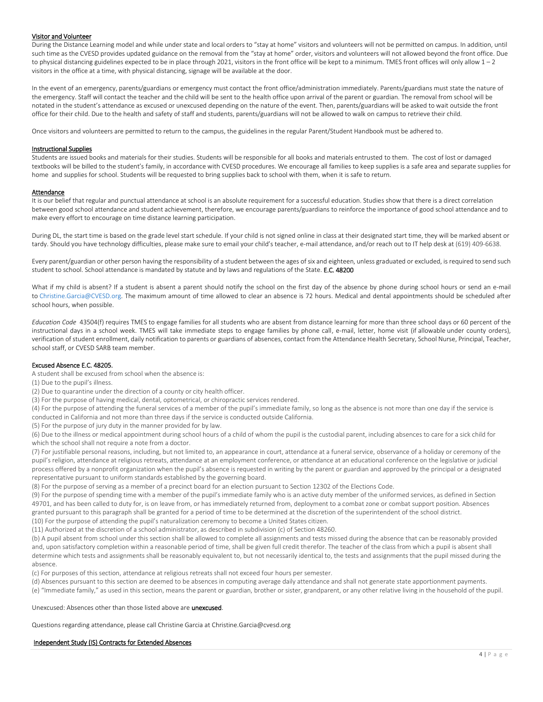# Visitor and Volunteer

During the Distance Learning model and while under state and local orders to "stay at home" visitors and volunteers will not be permitted on campus. In addition, until such time as the CVESD provides updated guidance on the removal from the "stay at home" order, visitors and volunteers will not allowed beyond the front office. Due to physical distancing guidelines expected to be in place through 2021, visitors in the front office will be kept to a minimum. TMES front offices will only allow 1 - 2 visitors in the office at a time, with physical distancing, signage will be available at the door.

In the event of an emergency, parents/guardians or emergency must contact the front office/administration immediately. Parents/guardians must state the nature of the emergency. Staff will contact the teacher and the child will be sent to the health office upon arrival of the parent or guardian. The removal from school will be notated in the student's attendance as excused or unexcused depending on the nature of the event. Then, parents/guardians will be asked to wait outside the front office for their child. Due to the health and safety of staff and students, parents/guardians will not be allowed to walk on campus to retrieve their child.

Once visitors and volunteers are permitted to return to the campus, the guidelines in the regular Parent/Student Handbook must be adhered to.

#### Instructional Supplies

Students are issued books and materials for their studies. Students will be responsible for all books and materials entrusted to them. The cost of lost or damaged textbooks will be billed to the student's family, in accordance with CVESD procedures. We encourage all families to keep supplies is a safe area and separate supplies for home and supplies for school. Students will be requested to bring supplies back to school with them, when it is safe to return.

#### Attendance

It is our belief that regular and punctual attendance at school is an absolute requirement for a successful education. Studies show that there is a direct correlation between good school attendance and student achievement, therefore, we encourage parents/guardians to reinforce the importance of good school attendance and to make every effort to encourage on time distance learning participation.

During DL, the start time is based on the grade level start schedule. If your child is not signed online in class at their designated start time, they will be marked absent or tardy. Should you have technology difficulties, please make sure to email your child's teacher, e-mail attendance, and/or reach out to IT help desk at (619) 409-6638.

Every parent/guardian or other person having the responsibility of a student between the ages of six and eighteen, unless graduated or excluded, is required to send such student to school. School attendance is mandated by statute and by laws and regulations of the State. E.C. 48200

What if my child is absent? If a student is absent a parent should notify the school on the first day of the absence by phone during school hours or send an e-mail to [Christine.Garcia@CVESD.org.](mailto:Christine.Garcia@CVESD.org) The maximum amount of time allowed to clear an absence is 72 hours. Medical and dental appointments should be scheduled after school hours, when possible.

*Education Code* 43504(f) requires TMES to engage families for all students who are absent from distance learning for more than three school days or 60 percent of the instructional days in a school week. TMES will take immediate steps to engage families by phone call, e-mail, letter, home visit (if allowable under county orders), verification of student enrollment, daily notification to parents or guardians of absences, contact from the Attendance Health Secretary, School Nurse, Principal, Teacher, school staff, or CVESD SARB team member.

# Excused Absence E.C. 48205.

A student shall be excused from school when the absence is:

(1) Due to the pupil's illness.

(2) Due to quarantine under the direction of a county or city health officer.

(3) For the purpose of having medical, dental, optometrical, or chiropractic services rendered.

(4) For the purpose of attending the funeral services of a member of the pupil's immediate family, so long as the absence is not more than one day if the service is conducted in California and not more than three days if the service is conducted outside California.

(5) For the purpose of jury duty in the manner provided for by law.

(6) Due to the illness or medical appointment during school hours of a child of whom the pupil is the custodial parent, including absences to care for a sick child for which the school shall not require a note from a doctor.

(7) For justifiable personal reasons, including, but not limited to, an appearance in court, attendance at a funeral service, observance of a holiday or ceremony of the pupil's religion, attendance at religious retreats, attendance at an employment conference, or attendance at an educational conference on the legislative or judicial process offered by a nonprofit organization when the pupil's absence is requested in writing by the parent or guardian and approved by the principal or a designated representative pursuant to uniform standards established by the governing board.

(8) For the purpose of serving as a member of a precinct board for an election pursuant to Section 12302 of the Elections Code.

(9) For the purpose of spending time with a member of the pupil's immediate family who is an active duty member of the uniformed services, as defined in Section 49701, and has been called to duty for, is on leave from, or has immediately returned from, deployment to a combat zone or combat support position. Absences granted pursuant to this paragraph shall be granted for a period of time to be determined at the discretion of the superintendent of the school district. (10) For the purpose of attending the pupil's naturalization ceremony to become a United States citizen.

(11) Authorized at the discretion of a school administrator, as described in subdivision (c) of Section 48260.

(b) A pupil absent from school under this section shall be allowed to complete all assignments and tests missed during the absence that can be reasonably provided and, upon satisfactory completion within a reasonable period of time, shall be given full credit therefor. The teacher of the class from which a pupil is absent shall determine which tests and assignments shall be reasonably equivalent to, but not necessarily identical to, the tests and assignments that the pupil missed during the absence.

(c) For purposes of this section, attendance at religious retreats shall not exceed four hours per semester.

(d) Absences pursuant to this section are deemed to be absences in computing average daily attendance and shall not generate state apportionment payments. (e) "Immediate family," as used in this section, means the parent or guardian, brother or sister, grandparent, or any other relative living in the household of the pupil.

Unexcused: Absences other than those listed above are unexcused.

Questions regarding attendance, please call Christine Garcia at Christine.Garcia@cvesd.org

#### Independent Study (IS) Contracts for Extended Absences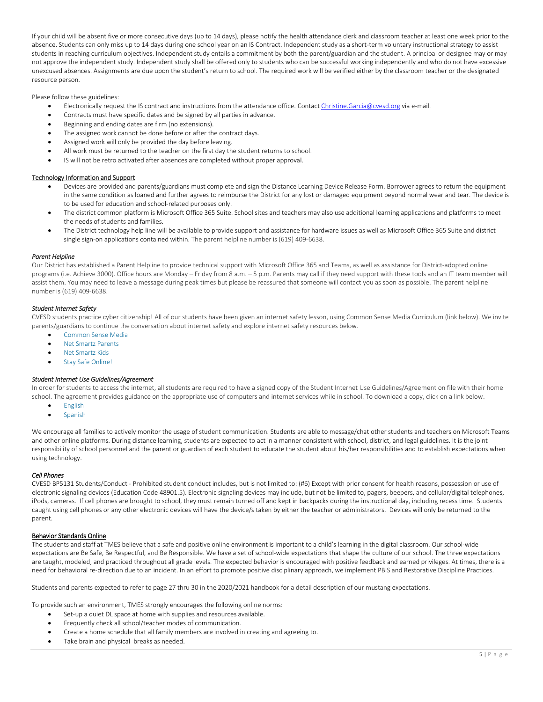If your child will be absent five or more consecutive days (up to 14 days), please notify the health attendance clerk and classroom teacher at least one week prior to the absence. Students can only miss up to 14 days during one school year on an IS Contract. Independent study as a short-term voluntary instructional strategy to assist students in reaching curriculum objectives. Independent study entails a commitment by both the parent/guardian and the student. A principal or designee may or may not approve the independent study. Independent study shall be offered only to students who can be successful working independently and who do not have excessive unexcused absences. Assignments are due upon the student's return to school. The required work will be verified either by the classroom teacher or the designated resource person.

Please follow these guidelines:

- Electronically request the IS contract and instructions from the attendance office. Contac[t Christine.Garcia@cvesd.org](mailto:Christine.Garcia@cvesd.org) via e-mail.
- Contracts must have specific dates and be signed by all parties in advance.
- Beginning and ending dates are firm (no extensions).
- The assigned work cannot be done before or after the contract days.
- Assigned work will only be provided the day before leaving.
- All work must be returned to the teacher on the first day the student returns to school.
- IS will not be retro activated after absences are completed without proper approval.

# Technology Information and Support

- Devices are provided and parents/guardians must complete and sign the Distance Learning Device Release Form. Borrower agrees to return the equipment in the same condition as loaned and further agrees to reimburse the District for any lost or damaged equipment beyond normal wear and tear. The device is to be used for education and school-related purposes only.
- The district common platform is Microsoft Office 365 Suite. School sites and teachers may also use additional learning applications and platforms to meet the needs of students and families.
- The District technology help line will be available to provide support and assistance for hardware issues as well as Microsoft Office 365 Suite and district single sign-on applications contained within. The parent helpline number is (619) 409-6638.

# *Parent Helpline*

Our District has established a Parent Helpline to provide technical support with Microsoft Office 365 and Teams, as well as assistance for District-adopted online programs (i.e. Achieve 3000). Office hours are Monday – Friday from 8 a.m. – 5 p.m. Parents may call if they need support with these tools and an IT team member will assist them. You may need to leave a message during peak times but please be reassured that someone will contact you as soon as possible. The parent helpline number is (619) 409-6638.

# *Student Internet Safety*

CVESD students practice cyber citizenship! All of our students have been given an internet safety lesson, using Common Sense Media Curriculum (link below). We invite parents/guardians to continue the conversation about internet safety and explore internet safety resources below.

- [Common Sense Media](http://www.commonsensemedia.org/)
- [Net Smartz Parents](https://nam03.safelinks.protection.outlook.com/?url=http%3A%2F%2Fwww.netsmartz.org%2FTrendsandTopics&data=01%7C01%7Cmaria.grabowski%40cvesd.org%7C797b50ab9d554ac5e91e08d6ea820795%7Ce87a6e0cc08e46b2bb7345dd072baa33%7C0&sdata=ybyPgpAZni1RtZ2NEoyqghE%2BPyd9yHD9Lmf6GcDHeDY%3D&reserved=0)
- [Net Smartz Kids](http://origin.www.netsmartzkids.org/)
- [Stay Safe Online!](https://www.broadbandsearch.net/blog/internet-safety-kids)

# *Student Internet Use Guidelines/Agreement*

In order for students to access the internet, all students are required to have a signed copy of the Student Internet Use Guidelines/Agreement on file with their home school. The agreement provides guidance on the appropriate use of computers and internet services while in school. To download a copy, click on a link below.

- **•** [English](https://www.cvesd.org/UserFiles/Servers/Server_411950/File/Students/Student%20Internet%20Use%20Guidelines%20Agreement/Student%20Internet%20Use%20Guidelines%20Agreement%20ENG.pdf)
- [Spanish](https://www.cvesd.org/UserFiles/Servers/Server_411950/File/Students/Student%20Internet%20Use%20Guidelines%20Agreement/Student%20Internet%20Use%20Guidelines%20Agreement%20SPAN.pdf)

We encourage all families to actively monitor the usage of student communication. Students are able to message/chat other students and teachers on Microsoft Teams and other online platforms. During distance learning, students are expected to act in a manner consistent with school, district, and legal guidelines. It is the joint responsibility of school personnel and the parent or guardian of each student to educate the student about his/her responsibilities and to establish expectations when using technology.

# *Cell Phones*

CVESD BP5131 Students/Conduct - Prohibited student conduct includes, but is not limited to: (#6) Except with prior consent for health reasons, possession or use of electronic signaling devices (Education Code 48901.5). Electronic signaling devices may include, but not be limited to, pagers, beepers, and cellular/digital telephones, iPods, cameras. If cell phones are brought to school, they must remain turned off and kept in backpacks during the instructional day, including recess time. Students caught using cell phones or any other electronic devices will have the device/s taken by either the teacher or administrators. Devices will only be returned to the parent.

# Behavior Standards Online

The students and staff at TMES believe that a safe and positive online environment is important to a child's learning in the digital classroom. Our school-wide expectations are Be Safe, Be Respectful, and Be Responsible. We have a set of school-wide expectations that shape the culture of our school. The three expectations are taught, modeled, and practiced throughout all grade levels. The expected behavior is encouraged with positive feedback and earned privileges. At times, there is a need for behavioral re-direction due to an incident. In an effort to promote positive disciplinary approach, we implement PBIS and Restorative Discipline Practices.

Students and parents expected to refer to page 27 thru 30 in the 2020/2021 handbook for a detail description of our mustang expectations.

To provide such an environment, TMES strongly encourages the following online norms:

- Set-up a quiet DL space at home with supplies and resources available.
- Frequently check all school/teacher modes of communication.
- Create a home schedule that all family members are involved in creating and agreeing to.
- Take brain and physical breaks as needed.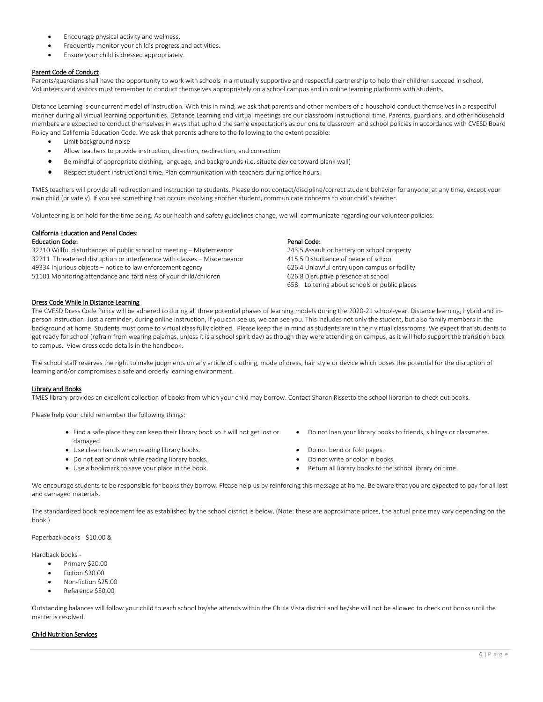- Encourage physical activity and wellness.
- Frequently monitor your child's progress and activities.
- Ensure your child is dressed appropriately.

# Parent Code of Conduct

Parents/guardians shall have the opportunity to work with schools in a mutually supportive and respectful partnership to help their children succeed in school. Volunteers and visitors must remember to conduct themselves appropriately on a school campus and in online learning platforms with students.

Distance Learning is our current model of instruction. With this in mind, we ask that parents and other members of a household conduct themselves in a respectful manner during all virtual learning opportunities. Distance Learning and virtual meetings are our classroom instructional time. Parents, guardians, and other household members are expected to conduct themselves in ways that uphold the same expectations as our onsite classroom and school policies in accordance with CVESD Board Policy and California Education Code. We ask that parents adhere to the following to the extent possible:

- Limit background noise
- Allow teachers to provide instruction, direction, re-direction, and correction
- Be mindful of appropriate clothing, language, and backgrounds (i.e. situate device toward blank wall)
- Respect student instructional time. Plan communication with teachers during office hours.

TMES teachers will provide all redirection and instruction to students. Please do not contact/discipline/correct student behavior for anyone, at any time, except your own child (privately). If you see something that occurs involving another student, communicate concerns to your child's teacher.

Volunteering is on hold for the time being. As our health and safety guidelines change, we will communicate regarding our volunteer policies.

# California Education and Penal Codes:

# Education Code:

32210 Willful disturbances of public school or meeting – Misdemeanor 32211 Threatened disruption or interference with classes – Misdemeanor 49334 Injurious objects – notice to law enforcement agency 51101 Monitoring attendance and tardiness of your child/children

# Penal Code:

243.5 Assault or battery on school property 415.5 Disturbance of peace of school 626.4 Unlawful entry upon campus or facility 626.8 Disruptive presence at school 658 Loitering about schools or public places

# Dress Code While In Distance Learning

The CVESD Dress Code Policy will be adhered to during all three potential phases of learning models during the 2020-21 school-year. Distance learning, hybrid and inperson instruction. Just a reminder, during online instruction, if you can see us, we can see you. This includes not only the student, but also family members in the background at home. Students must come to virtual class fully clothed. Please keep this in mind as students are in their virtual classrooms. We expect that students to get ready for school (refrain from wearing pajamas, unless it is a school spirit day) as though they were attending on campus, as it will help support the transition back to campus. View dress code details in the handbook.

The school staff reserves the right to make judgments on any article of clothing, mode of dress, hair style or device which poses the potential for the disruption of learning and/or compromises a safe and orderly learning environment.

# Library and Books

TMES library provides an excellent collection of books from which your child may borrow. Contact Sharon Rissetto the school librarian to check out books.

Please help your child remember the following things:

- Find a safe place they can keep their library book so it will not get lost or damaged.
- Use clean hands when reading library books.  $\bullet$  Do not bend or fold pages.
- Do not eat or drink while reading library books. Do not write or color in books.
- 
- Do not loan your library books to friends, siblings or classmates.
- 
- 
- Use a bookmark to save your place in the book.  $\bullet$  Return all library books to the school library on time.

We encourage students to be responsible for books they borrow. Please help us by reinforcing this message at home. Be aware that you are expected to pay for all lost and damaged materials.

The standardized book replacement fee as established by the school district is below. (Note: these are approximate prices, the actual price may vary depending on the book.)

Paperback books - \$10.00 &

Hardback books -

- Primary \$20.00
- Fiction \$20.00
- Non-fiction \$25.00
- Reference \$50.00

Outstanding balances will follow your child to each school he/she attends within the Chula Vista district and he/she will not be allowed to check out books until the matter is resolved.

# Child Nutrition Services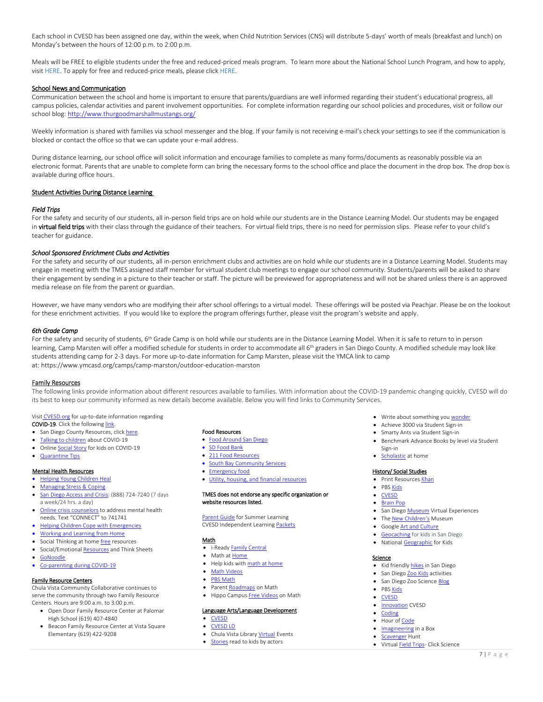Each school in CVESD has been assigned one day, within the week, when Child Nutrition Services (CNS) will distribute 5-days' worth of meals (breakfast and lunch) on Monday's between the hours of 12:00 p.m. to 2:00 p.m.

Meals will be FREE to eligible students under the free and reduced-priced meals program. To learn more about the National School Lunch Program, and how to apply, visit [HERE.](https://www.schoolcafe.com/CHULAVISTAESD) To apply for free and reduced-price meals, please click [HERE.](https://www.schoolcafe.com/CHULAVISTAESD)

# School News and Communication

Communication between the school and home is important to ensure that parents/guardians are well informed regarding their student's educational progress, all campus policies, calendar activities and parent involvement opportunities. For complete information regarding our school policies and procedures, visit or follow our school blog[: http://www.thurgoodmarshallmustangs.org/](http://www.thurgoodmarshallmustangs.org/)

Weekly information is shared with families via school messenger and the blog. If your family is not receiving e-mail's check your settings to see if the communication is blocked or contact the office so that we can update your e-mail address.

During distance learning, our school office will solicit information and encourage families to complete as many forms/documents as reasonably possible via an electronic format. Parents that are unable to complete form can bring the necessary forms to the school office and place the document in the drop box. The drop box is available during office hours.

# Student Activities During Distance Learning

# *Field Trips*

For the safety and security of our students, all in-person field trips are on hold while our students are in the Distance Learning Model. Our students may be engaged in virtual field trips with their class through the guidance of their teachers. For virtual field trips, there is no need for permission slips. Please refer to your child's teacher for guidance.

# *School Sponsored Enrichment Clubs and Activities*

For the safety and security of our students, all in-person enrichment clubs and activities are on hold while our students are in a Distance Learning Model. Students may engage in meeting with the TMES assigned staff member for virtual student club meetings to engage our school community. Students/parents will be asked to share their engagement by sending in a picture to their teacher or staff. The picture will be previewed for appropriateness and will not be shared unless there is an approved media release on file from the parent or guardian.

However, we have many vendors who are modifying their after school offerings to a virtual model. These offerings will be posted via Peachjar. Please be on the lookout for these enrichment activities. If you would like to explore the program offerings further, please visit the program's website and apply.

#### *6th Grade Camp*

For the safety and security of students, 6<sup>th</sup> Grade Camp is on hold while our students are in the Distance Learning Model. When it is safe to return to in person learning, Camp Marsten will offer a modified schedule for students in order to accommodate all 6<sup>th</sup> graders in San Diego County. A modified schedule may look like students attending camp for 2-3 days. For more up-to-date information for Camp Marsten, please visit the YMCA link to camp at: <https://www.ymcasd.org/camps/camp-marston/outdoor-education-marston>

#### Family Resources

The following links provide information about different resources available to families. With information about the COVID-19 pandemic changing quickly, CVESD will do its best to keep our community informed as new details become available. Below you will find links to Community Services.

Visit [CVESD.org](https://www.cvesd.org/cms/One.aspx?portalId=412034&pageId=462721) for up-to-date information regarding

- COVID-19. Click the followin[g link.](https://www.cvesd.org/cms/One.aspx?portalId=412034&pageId=14379485)  • San Diego County Resources, click here.
- 
- [Talking to children](https://www.nasponline.org/resources-and-publications/resources-and-podcasts/school-climate-safety-and-crisis/health-crisis-resources/helping-children-cope-with-changes-resulting-from-covid-19) about COVID-19
- Online **Social Story** for kids on COVID-19
- [Quarantine Tips](https://www.apa.org/topics/covid-19/quarantine-parents-tips)

#### Mental Health Resources

#### [Helping Young Children Heal](https://www.nctsn.org/resources/after-crisis-helping-young-children-heal)

- [Managing Stress & Coping](https://www.cdc.gov/coronavirus/2019-ncov/daily-life-coping/managing-stress-anxiety.html?CDC_AA_refVal=https%3A%2F%2Fwww.cdc.gov%2Fcoronavirus%2F2019-ncov%2Fprepare%2Fmanaging-stress-anxiety.html)
- [San Diego Access and Crisis:](https://www.optumsandiego.com/content/dam/san-diego/pdf/100_7207_san_diego_crisis_line_brochure_english_hires_printer.pdf) (888) 724-7240 (7 days a week/24 hrs. a day)
- [Online crisis counselors](https://www.crisistextline.org/) to address mental health needs. Text "CONNECT" to 741741
- **[Helping Children Cope with Emergencies](https://www.cdc.gov/childrenindisasters/helping-children-cope.html)**
- [Working and Learning from Home](https://www.healthychildren.org/English/health-issues/conditions/chest-lungs/Pages/Working-and-Learning-from-Home-During-the-COVID-19-Outbreak.aspx)
- Social Thinking at home **free** resources
- Social/Emotiona[l Resources](https://www.socialthinking.com/free-stuff) and Think Sheets [GoNoodle](https://family.gonoodle.com/)
- [Co-parenting during COVID-19](https://www.afccnet.org/Portals/0/Lyn%20Greenberg.pdf?ver=2020-04-01-145154-300)

#### Family Resource Centers

Chula Vista Community Collaborative continues to serve the community through two Family Resource Centers. Hours are 9:00 a.m. to 3:00 p.m.

- Open Door Family Resource Center at Palomar High School (619) 407-4840
- **Beacon Family Resource Center at Vista Square** Elementary (619) 422-9208

#### Food Resources

- [Food Around San Diego](https://feedingsandiego.org/need-help/food-distributions/)
- [SD Food Bank](https://sandiegofoodbank.org/GetHelp/)
- [211 Food Resources](https://my211.force.com/s/service-directory?code=BD-1800.2000)
- [South Bay Community Services](https://southbaycommunityservices.org/portfolio/food-distribution/?fbclid=IwAR0dJcvOorSLjW-BwDaNDEai0M3B2TP6wAAgE3itEgJ-ICK5-pYx4dAguy0)
- [Emergency food](https://my211.force.com/s/service-directory?code=BD-1800)
- [Utility, housing, and financial resources](https://211sandiego.org/resources/health-wellness/covid-19-resources/#food)

#### TMES does not endorse any specific organization or website resources listed.

[Parent Guide](https://www.cvesd.org/UserFiles/Servers/Server_411950/File/Parents/Independent%20Learning%20at%20Home/English%20Parent%20Guide%20for%20Summer%20Independent%20Learning.pdf) for Summer Learning CVESD Independent Learnin[g Packets](https://www.cvesd.org/parents/my_childs_learning/independent_learning_at_home/summer_independent_learning_packets)

#### Math

- i-Read[y Family Central](https://i-readycentral.com/familycenter/)
- Math a[t Home](https://www.cvesd.org/cms/One.aspx?portalId=412034&pageId=14729101)
- Help kids wit[h math at home](https://www.scoe.org/files/math-at-home-english.pdf)
- [Math Videos](https://www.magemath.com/math-video-grades/)
- PBS Math
- Paren[t Roadmaps](https://www.cgcs.org/site/Default.aspx?PageID=244) on Math
- Hippo Campu[s Free Videos](https://www.hippocampus.org/) on Math

# Language Arts/Language Development

- [CVESD](https://www.cvesd.org/parents/my_childs_learning/independent_learning_at_home/language_arts)
- [CVESD LD](https://www.cvesd.org/parents/my_childs_learning/independent_learning_at_home/language_development)
- Chula Vista Librar[y Virtual](https://www.chulavistaca.gov/home/showdocument?id=21068) Events
- [Stories](https://www.storylineonline.net/) read to kids by actors
- Write about something yo[u wonder](https://www.wonderopolis.org/wonders)
- Achieve 3000 via Student Sign-in
- Smarty Ants via Student Sign-in
- Benchmark Advance Books by level via Student Sign-in
- [Scholastic](https://classroommagazines.scholastic.com/support/learnathome.html) at home

#### History/ Social Studies

- Print Resource[s Khan](https://khankids.zendesk.com/hc/en-us/articles/360041004572-Printable-Activities-for-Parents-and-Teachers)
- PBS Kids
- [CVESD](https://www.cvesd.org/parents/my_childs_learning/independent_learning_at_home/history__social_science)
- [Brain Pop](https://www.brainpop.com/socialstudies/)
- San Dieg[o Museum](https://sandiegomuseumcouncil.org/museum-from-home-with-resources-activities-and-virtual-experiences/) Virtual Experiences
- The [New Children's](https://www.facebook.com/newchildrensmuseum/) Museum
- Googl[e Art and Culture](https://artsandculture.google.com/partner)
- **[Geocaching](https://www.sandiegocounty.gov/parks/geocaching.html)** for kids in San Diego
- Nationa[l Geographic](https://kids.nationalgeographic.com/) for Kids

#### Science

- Kid friendl[y hikes](https://redtri.com/socal/best-san-diego-hikes-for-kids-under-5/slide/7) in San Diego
- San Dieg[o Zoo Kids](https://kids.sandiegozoo.org/) activities
- San Diego Zoo Scienc[e Blog](https://institute.sandiegozoo.org/science-blog)
- PB[S Kids](https://ca.pbslearningmedia.org/subjects/science/)
- [CVESD](https://www.cvesd.org/parents/my_childs_learning/independent_learning_at_home/science___engineering)
- [Innovation](https://www.cvesd.org/parents/my_childs_learning/independent_learning_at_home/innovation) CVESD
- [Coding](https://code.org/)
- Hour o[f Code](https://hourofcode.com/us/learn)
- [Imagineering](https://www.khanacademy.org/humanities/hass-storytelling/imagineering-in-a-box) in a Box
- [Scavenger](https://animalcenter.org/wp-content/uploads/2020/03/Scavenger-Hunt-2020-version-2_SM-edits.pdf) Hunt
- Virtua[l Field Trips-](https://www.discoveryeducation.com/community/virtual-field-trips/) Click Science